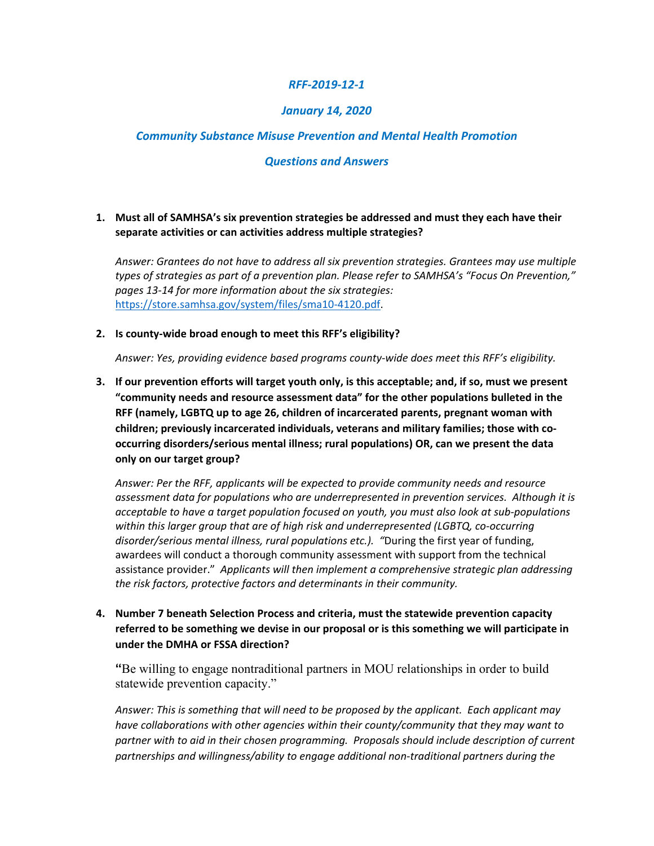#### *RFF-2019-12-1*

### *January 14, 2020*

### *Community Substance Misuse Prevention and Mental Health Promotion*

#### *Questions and Answers*

### **1. Must all of SAMHSA's six prevention strategies be addressed and must they each have their separate activities or can activities address multiple strategies?**

*Answer: Grantees do not have to address all six prevention strategies. Grantees may use multiple types of strategies as part of a prevention plan. Please refer to SAMHSA's "Focus On Prevention," pages 13-14 for more information about the six strategies:*  [https://store.samhsa.gov/system/files/sma10-4120.pdf.](https://store.samhsa.gov/system/files/sma10-4120.pdf)

#### **2. Is county-wide broad enough to meet this RFF's eligibility?**

*Answer: Yes, providing evidence based programs county-wide does meet this RFF's eligibility.*

**3. If our prevention efforts will target youth only, is this acceptable; and, if so, must we present "community needs and resource assessment data" for the other populations bulleted in the RFF (namely, LGBTQ up to age 26, children of incarcerated parents, pregnant woman with children; previously incarcerated individuals, veterans and military families; those with cooccurring disorders/serious mental illness; rural populations) OR, can we present the data only on our target group?**

*Answer: Per the RFF, applicants will be expected to provide community needs and resource assessment data for populations who are underrepresented in prevention services. Although it is acceptable to have a target population focused on youth, you must also look at sub-populations within this larger group that are of high risk and underrepresented (LGBTQ, co-occurring disorder/serious mental illness, rural populations etc.). "*During the first year of funding, awardees will conduct a thorough community assessment with support from the technical assistance provider." *Applicants will then implement a comprehensive strategic plan addressing the risk factors, protective factors and determinants in their community.*

**4. Number 7 beneath Selection Process and criteria, must the statewide prevention capacity referred to be something we devise in our proposal or is this something we will participate in under the DMHA or FSSA direction?**

**"**Be willing to engage nontraditional partners in MOU relationships in order to build statewide prevention capacity."

*Answer: This is something that will need to be proposed by the applicant. Each applicant may have collaborations with other agencies within their county/community that they may want to partner with to aid in their chosen programming. Proposals should include description of current partnerships and willingness/ability to engage additional non-traditional partners during the*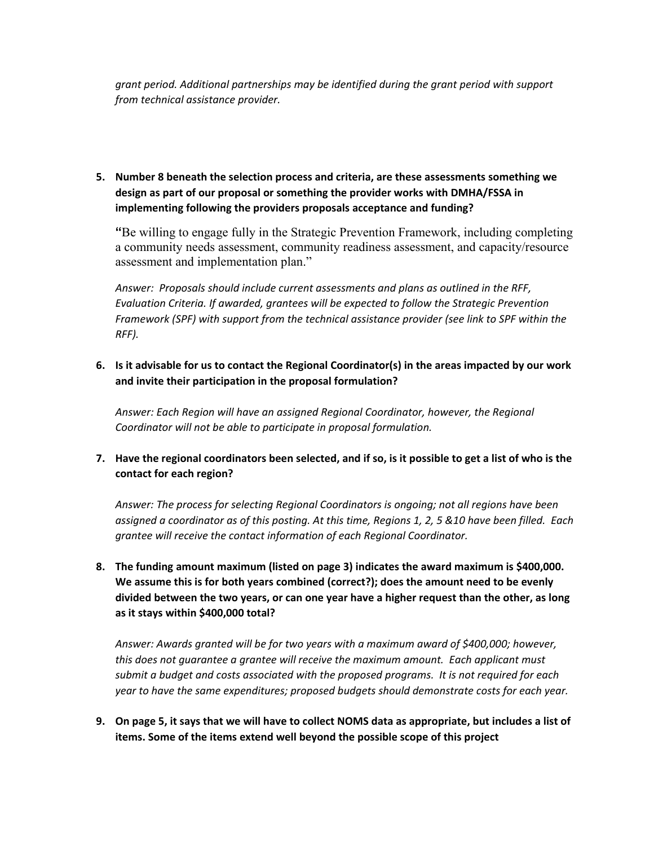*grant period. Additional partnerships may be identified during the grant period with support from technical assistance provider.*

**5. Number 8 beneath the selection process and criteria, are these assessments something we design as part of our proposal or something the provider works with DMHA/FSSA in implementing following the providers proposals acceptance and funding?**

**"**Be willing to engage fully in the Strategic Prevention Framework, including completing a community needs assessment, community readiness assessment, and capacity/resource assessment and implementation plan."

*Answer: Proposals should include current assessments and plans as outlined in the RFF, Evaluation Criteria. If awarded, grantees will be expected to follow the Strategic Prevention Framework (SPF) with support from the technical assistance provider (see link to SPF within the RFF).*

**6. Is it advisable for us to contact the Regional Coordinator(s) in the areas impacted by our work and invite their participation in the proposal formulation?** 

*Answer: Each Region will have an assigned Regional Coordinator, however, the Regional Coordinator will not be able to participate in proposal formulation.* 

**7. Have the regional coordinators been selected, and if so, is it possible to get a list of who is the contact for each region?**

*Answer: The process for selecting Regional Coordinators is ongoing; not all regions have been assigned a coordinator as of this posting. At this time, Regions 1, 2, 5 &10 have been filled. Each grantee will receive the contact information of each Regional Coordinator.*

**8. The funding amount maximum (listed on page 3) indicates the award maximum is \$400,000. We assume this is for both years combined (correct?); does the amount need to be evenly divided between the two years, or can one year have a higher request than the other, as long as it stays within \$400,000 total?**

*Answer: Awards granted will be for two years with a maximum award of \$400,000; however, this does not guarantee a grantee will receive the maximum amount. Each applicant must submit a budget and costs associated with the proposed programs. It is not required for each year to have the same expenditures; proposed budgets should demonstrate costs for each year.*

**9. On page 5, it says that we will have to collect NOMS data as appropriate, but includes a list of items. Some of the items extend well beyond the possible scope of this project**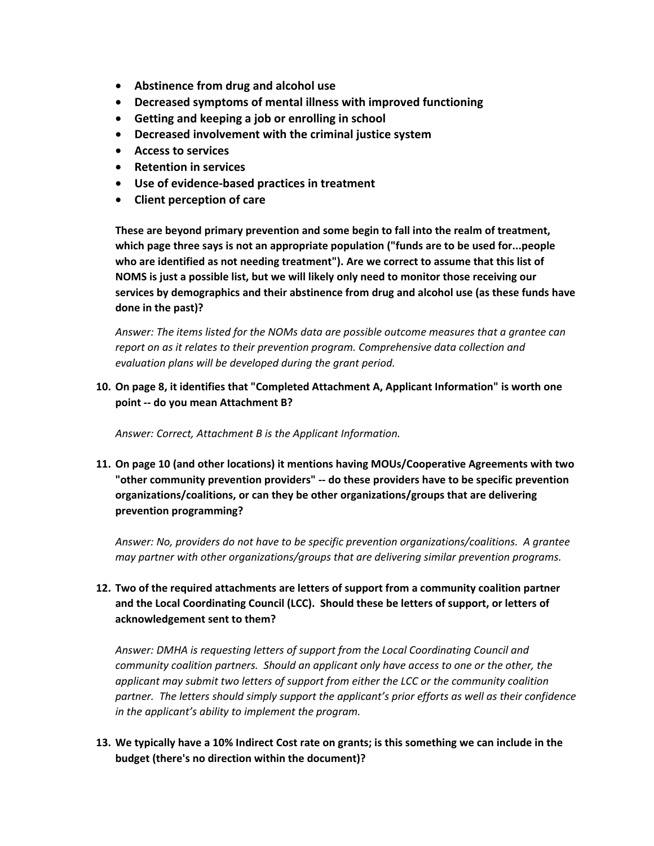- **Abstinence from drug and alcohol use**
- **Decreased symptoms of mental illness with improved functioning**
- **Getting and keeping a job or enrolling in school**
- **Decreased involvement with the criminal justice system**
- **Access to services**
- **Retention in services**
- **Use of evidence-based practices in treatment**
- **Client perception of care**

**These are beyond primary prevention and some begin to fall into the realm of treatment, which page three says is not an appropriate population ("funds are to be used for...people who are identified as not needing treatment"). Are we correct to assume that this list of NOMS is just a possible list, but we will likely only need to monitor those receiving our services by demographics and their abstinence from drug and alcohol use (as these funds have done in the past)?**

*Answer: The items listed for the NOMs data are possible outcome measures that a grantee can report on as it relates to their prevention program. Comprehensive data collection and evaluation plans will be developed during the grant period.*

**10. On page 8, it identifies that "Completed Attachment A, Applicant Information" is worth one point -- do you mean Attachment B?**

*Answer: Correct, Attachment B is the Applicant Information.*

**11. On page 10 (and other locations) it mentions having MOUs/Cooperative Agreements with two "other community prevention providers" -- do these providers have to be specific prevention organizations/coalitions, or can they be other organizations/groups that are delivering prevention programming?**

*Answer: No, providers do not have to be specific prevention organizations/coalitions. A grantee may partner with other organizations/groups that are delivering similar prevention programs.*

# **12. Two of the required attachments are letters of support from a community coalition partner and the Local Coordinating Council (LCC). Should these be letters of support, or letters of acknowledgement sent to them?**

*Answer: DMHA is requesting letters of support from the Local Coordinating Council and community coalition partners. Should an applicant only have access to one or the other, the applicant may submit two letters of support from either the LCC or the community coalition partner. The letters should simply support the applicant's prior efforts as well as their confidence in the applicant's ability to implement the program.* 

### **13. We typically have a 10% Indirect Cost rate on grants; is this something we can include in the budget (there's no direction within the document)?**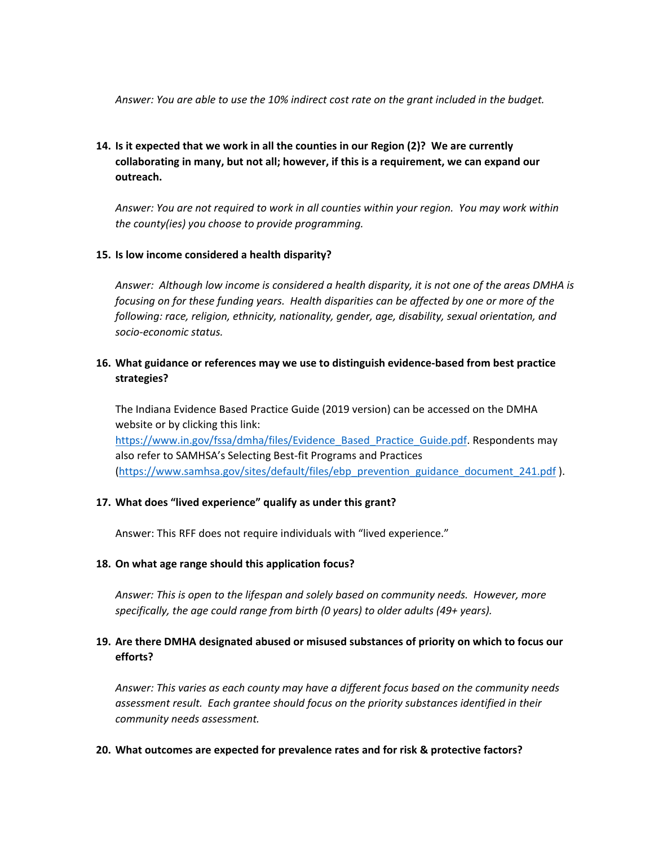*Answer: You are able to use the 10% indirect cost rate on the grant included in the budget.*

# **14. Is it expected that we work in all the counties in our Region (2)? We are currently collaborating in many, but not all; however, if this is a requirement, we can expand our outreach.**

*Answer: You are not required to work in all counties within your region. You may work within the county(ies) you choose to provide programming.*

#### **15. Is low income considered a health disparity?**

*Answer: Although low income is considered a health disparity, it is not one of the areas DMHA is focusing on for these funding years. Health disparities can be affected by one or more of the following: race, religion, ethnicity, nationality, gender, age, disability, sexual orientation, and socio-economic status.* 

## **16. What guidance or references may we use to distinguish evidence-based from best practice strategies?**

The Indiana Evidence Based Practice Guide (2019 version) can be accessed on the DMHA website or by clicking this link: [https://www.in.gov/fssa/dmha/files/Evidence\\_Based\\_Practice\\_Guide.pdf.](https://www.in.gov/fssa/dmha/files/Evidence_Based_Practice_Guide.pdf) Respondents may also refer to SAMHSA's Selecting Best-fit Programs and Practices [\(https://www.samhsa.gov/sites/default/files/ebp\\_prevention\\_guidance\\_document\\_241.pdf](https://www.samhsa.gov/sites/default/files/ebp_prevention_guidance_document_241.pdf) ).

#### **17. What does "lived experience" qualify as under this grant?**

Answer: This RFF does not require individuals with "lived experience."

#### **18. On what age range should this application focus?**

*Answer: This is open to the lifespan and solely based on community needs. However, more specifically, the age could range from birth (0 years) to older adults (49+ years).*

# **19. Are there DMHA designated abused or misused substances of priority on which to focus our efforts?**

*Answer: This varies as each county may have a different focus based on the community needs assessment result. Each grantee should focus on the priority substances identified in their community needs assessment.*

#### **20. What outcomes are expected for prevalence rates and for risk & protective factors?**